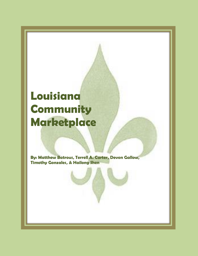### **Louisiana Community Marketplace**

**By: Matthew Batrous, Terrell A. Carter, Devon Gallow, Timothy Gonzales, & Hailong Shen**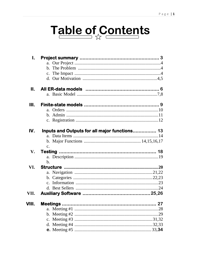# Table of Contents

| I.            |                                               |  |
|---------------|-----------------------------------------------|--|
|               | a.                                            |  |
|               |                                               |  |
|               |                                               |  |
|               |                                               |  |
| II.           |                                               |  |
|               |                                               |  |
| Ш.            |                                               |  |
|               | $a_{\cdot}$                                   |  |
|               |                                               |  |
|               |                                               |  |
| IV.           | Inputs and Outputs for all major functions 13 |  |
|               |                                               |  |
|               |                                               |  |
|               | $C_{\bullet}$                                 |  |
| $V_{\bullet}$ |                                               |  |
|               |                                               |  |
|               | $\mathbf b$ .                                 |  |
| VI.           |                                               |  |
|               |                                               |  |
|               |                                               |  |
|               |                                               |  |
|               |                                               |  |
| VII.          |                                               |  |
| VIII.         |                                               |  |
|               |                                               |  |
|               |                                               |  |
|               |                                               |  |
|               |                                               |  |
|               |                                               |  |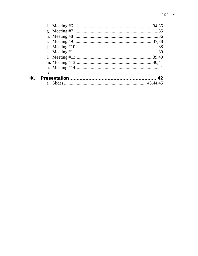| $\Omega$ . |  |
|------------|--|
|            |  |
|            |  |

 $\overline{\mathsf{IX}}$ .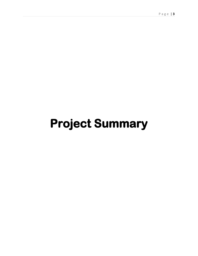## **Project Summary**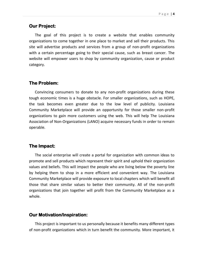#### **Our Project:**

The goal of this project is to create a website that enables community organizations to come together in one place to market and sell their products. This site will advertise products and services from a group of non-profit organizations with a certain percentage going to their special cause, such as breast cancer. The website will empower users to shop by community organization, cause or product category.

#### **The Problem:**

Convincing consumers to donate to any non-profit organizations during these tough economic times is a huge obstacle. For smaller organizations, such as HOPE, the task becomes even greater due to the low level of publicity. Louisiana Community Marketplace will provide an opportunity for those smaller non-profit organizations to gain more customers using the web. This will help The Louisiana Association of Non-Organizations (LANO) acquire necessary funds in order to remain operable.

#### **The Impact:**

The social enterprise will create a portal for organization with common ideas to promote and sell products which represent their spirit and uphold their organization values and beliefs. This will impact the people who are living below the poverty line by helping them to shop in a more efficient and convenient way. The Louisiana Community Marketplace will provide exposure to local chapters which will benefit all those that share similar values to better their community. All of the non-profit organizations that join together will profit from the Community Marketplace as a whole.

#### **Our Motivation/Inspiration:**

This project is important to us personally because it benefits many different types of non-profit organizations which in turn benefit the community. More important, it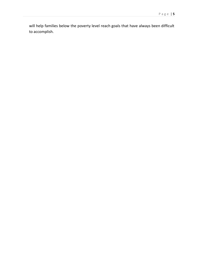will help families below the poverty level reach goals that have always been difficult to accomplish.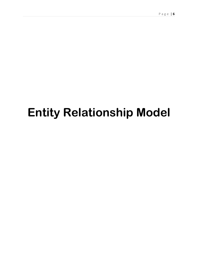## **Entity Relationship Model**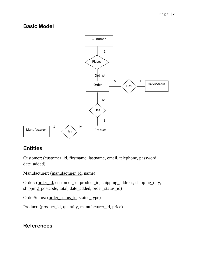### **Basic Model**



### **Entities**

Customer: (customer\_id, firstname, lastname, email, telephone, password, date\_added)

Manufacturer: (manufacturer\_id, name)

Order: (order\_id, customer\_id, product\_id, shipping\_address, shipping\_city, shipping\_postcode, total, date\_added, order\_status\_id)

OrderStatus: (order\_status\_id, status\_type)

Product: (product\_id, quantity, manufacturer\_id, price)

### **References**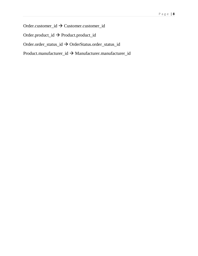Order.customer\_id  $\rightarrow$  Customer.customer\_id

Order.product\_id Product.product\_id

Order.order\_status\_id OrderStatus.order\_status\_id

Product.manufacturer\_id → Manufacturer.manufacturer\_id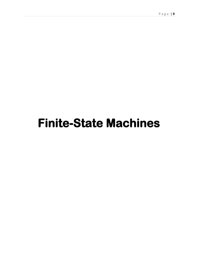## **Finite-State Machines**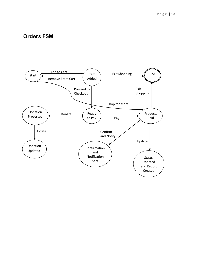### **Orders FSM**

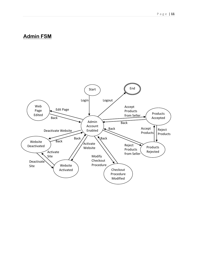### **Admin FSM**

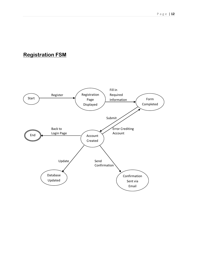### **Registration FSM**

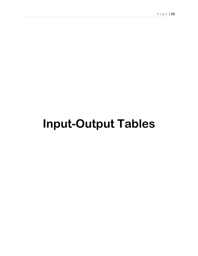## **Input-Output Tables**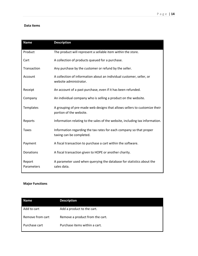#### **Data items**

| <b>Name</b>          | <b>Description</b>                                                                                   |
|----------------------|------------------------------------------------------------------------------------------------------|
| Product              | The product will represent a sellable item within the store.                                         |
| Cart                 | A collection of products queued for a purchase.                                                      |
| Transaction          | Any purchase by the customer or refund by the seller.                                                |
| Account              | A collection of information about an individual customer, seller, or<br>website administrator.       |
| Receipt              | An account of a past purchase, even if it has been refunded.                                         |
| Company              | An individual company who is selling a product on the website.                                       |
| Templates            | A grouping of pre-made web designs that allows sellers to customize their<br>portion of the website. |
| Reports              | Information relating to the sales of the website, including tax information.                         |
| <b>Taxes</b>         | Information regarding the tax rates for each company so that proper<br>taxing can be completed.      |
| Payment              | A fiscal transaction to purchase a cart within the software.                                         |
| Donations            | A fiscal transaction given to HOPE or another charity.                                               |
| Report<br>Parameters | A parameter used when querying the database for statistics about the<br>sales data.                  |

#### **Major Functions**

| <b>Name</b>      | <b>Description</b>              |
|------------------|---------------------------------|
| Add to cart      | Add a product to the cart.      |
| Remove from cart | Remove a product from the cart. |
| Purchase cart    | Purchase items within a cart.   |
|                  |                                 |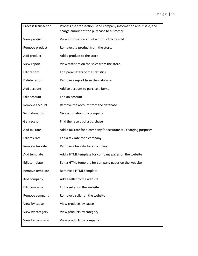| <b>Process transaction</b> | Process the transaction, send company information about sale, and |  |  |
|----------------------------|-------------------------------------------------------------------|--|--|
|                            | charge amount of the purchase to customer.                        |  |  |
| View product               | View information about a product to be sold.                      |  |  |
| Remove product             | Remove the product from the store.                                |  |  |
| Add product                | Add a product to the store                                        |  |  |
| View report                | View statistics on the sales from the store.                      |  |  |
| Edit report                | Edit parameters of the statistics                                 |  |  |
| Delete report              | Remove a report from the database.                                |  |  |
| Add account                | Add an account to purchase items                                  |  |  |
| Edit account               | Edit an account                                                   |  |  |
| Remove account             | Remove the account from the database                              |  |  |
| Send donation              | Give a donation to a company                                      |  |  |
| Get receipt                | Find the receipt of a purchase                                    |  |  |
| Add tax rate               | Add a tax rate for a company for accurate tax charging purposes.  |  |  |
| Edit tax rate              | Edit a tax rate for a company                                     |  |  |
| Remove tax rate            | Remove a tax rate for a company                                   |  |  |
| Add template               | Add a HTML template for company pages on the website              |  |  |
| Edit template              | Edit a HTML template for company pages on the website             |  |  |
| Remove template            | Remove a HTML template                                            |  |  |
| Add company                | Add a seller to the website                                       |  |  |
| Edit company               | Edit a seller on the website                                      |  |  |
| Remove company             | Remove a seller on the website                                    |  |  |
| View by cause              | View products by cause                                            |  |  |
| View by category           | View products by category                                         |  |  |
| View by company            | View products by company                                          |  |  |
|                            |                                                                   |  |  |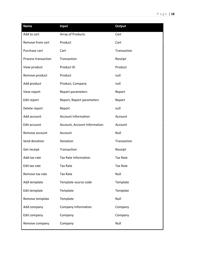| <b>Name</b>         | Input                        | <b>Output</b>   |
|---------------------|------------------------------|-----------------|
| Add to cart         | Array of Products            | Cart            |
| Remove from cart    | Product                      | Cart            |
| Purchase cart       | Cart                         | Transaction     |
| Process transaction | Transaction                  | Receipt         |
| View product        | Product ID                   | Product         |
| Remove product      | Product                      | null            |
| Add product         | Product, Company             | null            |
| View report         | Report parameters            | Report          |
| Edit report         | Report, Report parameters    | Report          |
| Delete report       | Report                       | null            |
| Add account         | <b>Account Information</b>   | Account         |
| Edit account        | Account, Account Information | Account         |
| Remove account      | Account                      | Null            |
| Send donation       | Donation                     | Transaction     |
| Get receipt         | Transaction                  | Receipt         |
| Add tax rate        | <b>Tax Rate Information</b>  | <b>Tax Rate</b> |
| Edit tax rate       | <b>Tax Rate</b>              | <b>Tax Rate</b> |
| Remove tax rate     | <b>Tax Rate</b>              | Null            |
| Add template        | Template source code         | Template        |
| Edit template       | Template                     | Template        |
| Remove template     | Template                     | Null            |
| Add company         | Company Information          | Company         |
| Edit company        | Company                      | Company         |
| Remove company      | Company                      | Null            |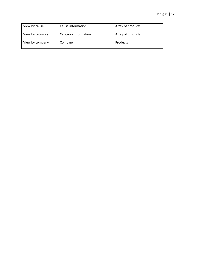| View by cause    | Cause information    | Array of products |
|------------------|----------------------|-------------------|
| View by category | Category information | Array of products |
| View by company  | Company              | Products          |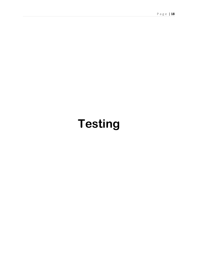## **Testing**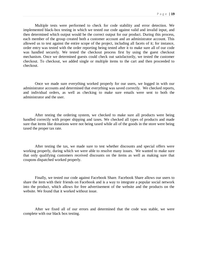Multiple tests were performed to check for code stability and error detection. We implemented black-box testing in which we tested our code against valid and invalid input, and then determined which output would be the correct output for our product. During this process, each member of the group created both a customer account and an administrator account. This allowed us to test against the entire scope of the project, including all facets of it; for instance, order entry was tested with the order reporting being tested after it to make sure all of our code was handled securely. We tested the checkout process first by using the guest checkout mechanism. Once we determined guests could check out satisfactorily, we tested the customer checkout. To checkout, we added single or multiple items to the cart and then proceeded to checkout.

Once we made sure everything worked properly for our users, we logged in with our administrator accounts and determined that everything was saved correctly. We checked reports, and individual orders, as well as checking to make sure emails were sent to both the administrator and the user.

After testing the ordering system, we checked to make sure all products were being handled correctly with proper shipping and taxes. We checked all types of products and made sure that items like donations were not being taxed while all of the goods in the store were being taxed the proper tax rate.

After testing the tax, we made sure to test whether discounts and special offers were working properly, during which we were able to resolve many issues. We wanted to make sure that only qualifying customers received discounts on the items as well as making sure that coupons dispatched worked properly.

Finally, we tested our code against Facebook Share. Facebook Share allows our users to share the item with their friends on Facebook and is a way to integrate a popular social network into the product, which allows for free advertisement of the website and the products on the website. We found that it worked without issue.

After we fixed all of our errors and determined that the code was stable, we were complete with our black box testing.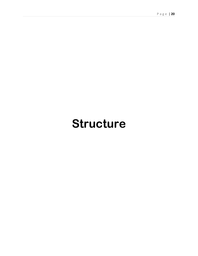### **Structure**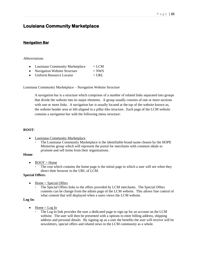### **Louisiana Community Marketplace**

#### **Navigation Bar**

#### Abbreviations

- Louisiana Community Marketplace  $= LCM$
- Navigation Website Structure  $= NWS$
- $\bullet$  Uniform Resource Locator  $=$  URL

Louisiana Community Marketplace – Navigation Website Structure

A navigation bar is a structure which comprises of a number of related links separated into groups that divide the website into its major elements. A group usually consists of one or more sections with one or more links. A navigation bar is usually located at the top of the website known as, the website header area or left-aligned in a pillar-like structure. Each page of the LCM website contains a navigation bar with the following menu structure:

#### **ROOT**:

- Louisiana Community Marketplace
	- The Louisiana Community Marketplace is the identifiable brand name chosen by the HOPE Ministries group which will represent the portal for merchants with common ideals to promote and sell items from their organizations.

#### **Home**:

- $\bullet$ ROOT > Home
	- The root which contains the home page is the initial page in which a user will see when they direct their browser to the URL of LCM.

#### **Special Offers:**

- Home > Special Offers  $\bullet$ 
	- The Special Offers links to the offers provided by LCM merchants. The Special Offers contents can be change from the admin page of the LCM website. This allows fine control of what content that will displayed when a users views the LCM website.

#### **Log In:**

- Home > Log In
	- The Log In link provides the user a dedicated page to sign up for an account on the LCM website. The user will then be presented with a options to enter billing address, shipping address and personal details. By signing up as a user the benefits the user will receive will be newsletters, special offers and related news to the LCM community as a whole.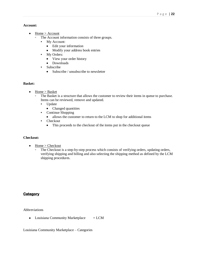#### **Account:**

- $\bullet$ Home > Account
	- The Account information consists of three groups.
		- My Account:
			- Edit your information  $\bullet$
			- Modify your address book entries  $\bullet$
		- My Orders:
			- View your order history
			- Downloads  $\bullet$
		- Subscribe
			- Subscribe / unsubscribe to newsletter

#### **Basket:**

- Home > Basket  $\bullet$ 
	- The Basket is a structure that allows the customer to review their items in queue to purchase. Items can be reviewed, remove and updated.
		- Update
			- Changed quantities  $\bullet$
		- Continue Shopping
			- allows the customer to return to the LCM to shop for additional items  $\bullet$
		- Checkout
			- This proceeds to the checkout of the items put in the checkout queue  $\bullet$

#### **Checkout:**

- Home > Checkout  $\bullet$ 
	- The Checkout is a step-by-step process which consists of verifying orders, updating orders, verifying shipping and billing and also selecting the shipping method as defined by the LCM shipping procedures.

#### **Category**

Abbreviations

• Louisiana Community Marketplace  $= LCM$ 

Louisiana Community Marketplace – Categories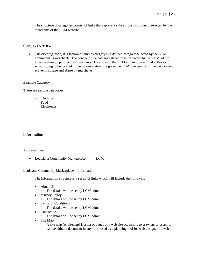The structure of categories consist of links that represent subsections its products selected by the merchants of the LCM website.

#### Category Overview

 $\bullet$ The clothing, food, & Electronic sample category is a defined category selected by the LCM admin and its merchants. The control of the category structure is formatted by the LCM admin after receiving input from its merchants. By allowing the LCM admin to give final authority of what's going to be located in the category structure gives the LCM fine control of the website and prevents misuse and abuse by merchants.

#### Example Category

These are sample categories

- Clothing
- Food
- Electronics

#### **Information**

#### Abbreviations

• Louisiana Community Marketplace = LCM

Louisiana Community Marketplace – Information

The Information structure is a set up of links which will include the following:

- About Us:  $\bullet$ 
	- The details will be set by LCM admin
- Privacy Policy
	- The details will be set by LCM admin
- Terms & Conditions
	- The details will be set by LCM admin
- Contact Us
	- The details will be set by LCM admin
- Site Map
	- A site map (or sitemap) is a list of pages of a web site accessible to crawlers or users. It can be either a document in any form used as a planning tool for web design, or a web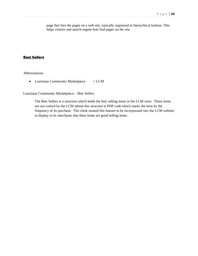page that lists the pages on a web site, typically organized in hierarchical fashion. This helps visitors and search engine bots find pages on the site.

#### **Best Sellers**

Abbreviations

• Louisiana Community Marketplace  $= LCM$ 

Louisiana Community Marketplace – Best Sellers

The Best Sellers is a structure which holds the best selling items in the LCM store. These items are not control by the LCM admin this structure is PHP code which marks the item by the frequency of its purchase. The client wanted this feature to be incorporated into the LCM website to display to its merchants that there items are good selling items.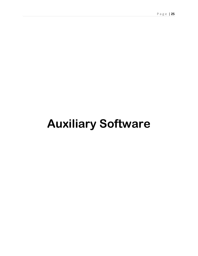## **Auxiliary Software**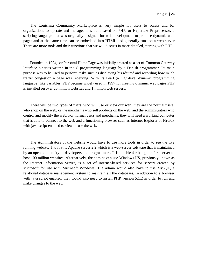The Louisiana Community Marketplace is very simple for users to access and for organizations to operate and manage. It is built based on PHP, or Hypertext Preprocessor, a scripting language that was originally designed for web development to produce dynamic web pages and at the same time can be embedded into HTML and generally runs on a web server There are more tools and their functions that we will discuss in more detailed, starting with PHP.

Founded in 1994, or Personal Home Page was initially created as a set of [Common Gateway](http://en.wikipedia.org/wiki/Common_Gateway_Interface)  [Interface](http://en.wikipedia.org/wiki/Common_Gateway_Interface) [binaries](http://en.wikipedia.org/wiki/Binary_file) written in the [C programming language](http://en.wikipedia.org/wiki/C_programming_language) by a [Danish](http://en.wikipedia.org/wiki/Danish_people) programmer. Its main purpose was to be used to perform tasks such as displaying his résumé and recording how much traffic congestion a page was receiving. With its Pearl (a high-level dynamic programming language) like variables, PHP became widely used in 1997 for creating dynamic web pages PHP is installed on over 20 million websites and 1 million web servers.

There will be two types of users, who will use or view our web; they are the normal users, who shop on the web, or the merchants who sell products on the web; and the administrators who control and modify the web. For normal users and merchants, they will need a working computer that is able to connect to the web and a functioning browser such as Internet Explorer or Firefox with java script enabled to view or use the web.

The Administrators of the website would have to use more tools in order to see the live running website. The first is Apache server 2.2 which is a web-server software that is maintained by an open community of developers and programmers. It is notable for being the first server to host 100 million websites. Alternatively, the admins can use Windows IIS, previously known as the Internet Information Server, is a set of Internet-based services for servers created by [Microsoft](http://en.wikipedia.org/wiki/Microsoft) for use with [Microsoft Windows.](http://en.wikipedia.org/wiki/Microsoft_Windows) The admin would also have to use MySQL, a relational database management system to maintain all the databases. In addition to a browser with java script enabled, they would also need to install PHP version 5.1.2 in order to run and make changes to the web.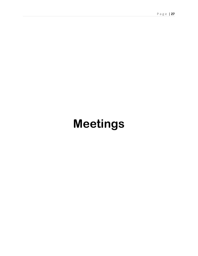## **Meetings**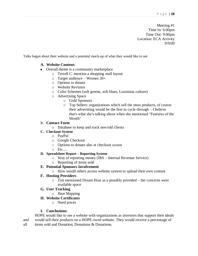Meeting #1 Time In: 6:00pm Time Out: 9:00pm Location: ECA Activity 9/9/09

Talks began about their website and a potential mock-up of what they would like to see

#### **A. Website Content:**

- Overall theme is a community marketplace
	- o Terrell C. mention a shopping mall layout
	- o Target audience Women 30+
	- o Options to donate
	- o Website Revision
	- o Color Schemes (soft greens, soft blues, Louisiana culture)
	- o Advertising Space
		- o Gold Sponsors
		- o Top Sellers: organizations which sell the most products, of course their advertising would be the first to cycle through – I believe that's what she's talking about when she mentioned "Features of the Month"

#### B. **Contact Form**

o Database to keep and track new/old clients

- **C. Checkout System**
	- o PayPal
	- o Google Checkout
	- o Options to donate also at checkout system
	- o Etc....

#### **D. Spreadsheet Report – Reporting System**

- o Way of reporting money (IRS Internal Revenue Service)
- o Reporting of items sold

#### **E. Potential Sponsors Involvement**

o How would others access website system to upload their own content

#### **F. Hosting Providers**

- o Tim mentioned Dream Host as a possibly provided her concerns were available space
- **G. User Tracking**
	- o Heat Mapping
- **H. Website Certificates**
	- o Need prices

#### **I. Conclusions:**

HOPE would like to see a website with organizations as investors that support their ideals and would sell their products on a HOPE owed website. They would receive a percentage of all items sold and Donation, Donations & Donations.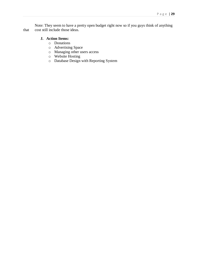Note: They seem to have a pretty open budget right now so if you guys think of anything that cost still include those ideas.

#### **J. Action Items:**

- o Donations
- o Advertising Space
- o Managing other users access
- o Website Hosting
- o Database Design with Reporting System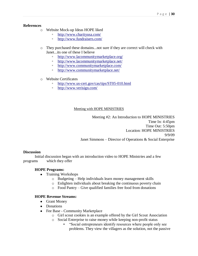#### **References**

- o Website Mock-up Ideas HOPE liked
	- <http://www.charityusa.com/>
	- <http://www.fundraisers.com/>
- o They purchased these domains...not sure if they are correct will check with Janet...its one of these I believe
	- <http://www.lacommunitymarketplace.org/>
	- <http://www.lacommunitymarketplace.net/>
	- <http://www.communitymarketplace.com/>
	- <http://www.communitymarketplace.net/>
- o Website Certificates
	- <http://www.us-cert.gov/cas/tips/ST05-010.html>
	- <http://www.verisign.com/>

#### Meeting with HOPE MINISTRIES

Meeting #2: An Introduction to HOPE MINISTRIES Time In: 4:45pm Time Out: 5:50pm Location: HOPE MINISTRIES 9/9/09 Janet Simmons – Director of Operations & Social Enterprise

#### **Discussion**

Initial discussion began with an introduction video to HOPE Ministries and a few programs which they offer

#### **HOPE Programs:**

- Training Workshops
	- o Budgeting Help individuals learn money management skills
	- o Enlighten individuals about breaking the continuous poverty chain
	- o Food Pantry Give qualified families free food from donations

#### **HOPE Revenue Streams:**

- Grant Money
- Donations
- Fee Base Community Marketplace
	- o Girl scout cookies is an example offered by the Girl Scout Association
	- o Social Enterprise to raise money while keeping non-profit status
		- "Social entrepreneurs identify resources where people only see problems. They view the villagers as the solution, not the passive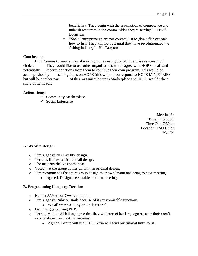beneficiary. They begin with the assumption of competence and unleash resources in the communities they're serving." - David **Bornstein** 

▪ "Social entrepreneurs are not content just to give a fish or teach how to fish. They will not rest until they have revolutionized the fishing industry" - Bill Drayton

#### **Conclusions**:

HOPE seems to want a way of making money using Social Enterprise as stream of choice. They would like to use other organizations which agree with HOPE ideals and potentially receive donations from them to continue their own program. This would be accomplished by selling items on HOPE (this will not correspond to HOPE MINISTRIES but will be another part of their organization unit) Marketplace and HOPE would take a share of items sold.

#### **Action Items:**

- $\checkmark$  Community Marketplace
- $\checkmark$  Social Enterprise

Meeting #3 Time In: 5:30pm Time Out: 7:30pm Location: LSU Union 9/20/09

#### **A. Website Design**

- o Tim suggests an eBay like design.
- o Terrell still likes a virtual mall design.
- o The majority dislikes both ideas
- o Voted that the group comes up with an original design.
- o Tim recommends the entire group design their own layout and bring to next meeting.
	- Agreed. Design sheets tabled to next meeting.  $\bullet$

#### **B. Programming Language Decision**

- $\circ$  Neither JAVA nor C++ is an option.
- o Tim suggests Ruby on Rails because of its customizable functions.
	- We all watch a Ruby on Rails tutorial.
- o Devin suggests using PHP.
- o Terrell, Matt, and Hailong agree that they will earn either language because their aren't very proficient in creating websites.
	- Agreed. Group will use PHP. Devin will send out tutorial links for it.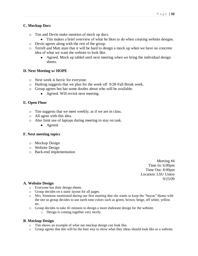#### **C. Mockup Docs**

- o Tim and Devin make mention of mock up docs.
	- Tim makes a brief overview of what he likes to do when creating website designs.
- o Devin agrees along with the rest of the group.
- o Terrell and Matt state that it will be hard to design a mock up when we have no concrete idea of what we want the website to look like.
	- Agreed. Mock up tabled until next meeting when we bring the individual design  $\bullet$ sheets.

#### **D. Next Meeting w/ HOPE**

- o Next week is hectic for everyone.
- o Hailong suggests that we plan for the week off 9/28-Fall Break week.
- o Group agrees but has some doubts about who will be available.
	- Agreed. Will revisit next meeting.

#### **E. Open Floor**

- o Tim suggests that we meet weekly; as if we are in class.
- o All agree with this idea.
- o Also limit use of laptops during meeting to stay on task.
	- Agreed.

#### **F. Next meeting topics**

- o Mockup Design
- o Website Design
- o Back-end implementation

Meeting #4 Time In: 6:00pm Time Out: 8:00pm Location: LSU Union 9/25/09

#### **A. Website Design**

- o Everyone has their design sheets.
- o Group decides on a static layout for all pages.
- o Mrs. Simmons mentioned during our first meeting that she wants to keep the "bayou" theme with the site so group decides to use earth tone colors such as green, brown, beige, off white, yellow etc.
- o Group decides to take 45 minutes to design a more elaborate design for the website.
	- o Design is coming together very nicely.

#### **B**. **Mockup Design**

- o Tim shows an example of what out mockup design can look like.
- o Group agrees that this will be the best way to show what they ideas should look like as a website.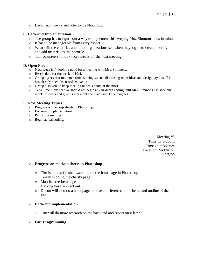o Devin recommends and votes to use Photoshop.

#### **C. Back-end Implementation**

- o The group has to figure out a way to implement this keeping Mrs. Simmons idea in mind.
- o It has to be manageable from every aspect.
- o What will the charities and other organizations see when they log in to create, modify, and add material to their profile.
- o Tim volunteers to look more into it for the next meeting.

#### **D. Open Floor**

- o Next week isn't looking good for a meeting with Mrs. Simmons.
- o Reschedule for the week of 10/4.
- o Group agrees that too much time is being wasted discussing other ideas and design layouts. If it has already been discussed, move on.
- o Group also vote to keep meeting under 3 hours at the most.
- o Terrell mentions that we should not begin any in-depth coding until Mrs. Simmons has seen our mockup sheets and give us any input she may have. Group agrees.

#### **E. Next Meeting Topics**

- o Progress on mockup sheets in Photoshop.
- o Back-end implementation.
- o Pair Programming
- o Begin actual coding.

Meeting #5 Time In: 6:25pm Time Out: 8:20pm Location: Middleton 10/8/09

#### o **Progress on mockup sheets in Photoshop**

- o Tim is almost finished working on the homepage in Photoshop.
- o Terrell is doing the charity page.
- o Matt has the item page.
- o Hailong has the checkout
- o Devon will also do a homepage to have a different color scheme and outline of the site.

#### o **Back-end implementation**

- o Tim will do more research on the back end and report on it later.
- o **Pair Programming**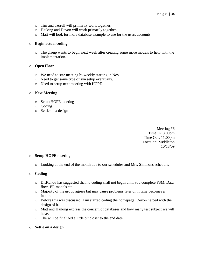- o Tim and Terrell will primarily work together.
- o Hailong and Devon will work primarily together.
- o Matt will look for more database example to use for the users accounts.

#### o **Begin actual coding**

o The group wants to begin next week after creating some more models to help with the implementation.

#### o **Open Floor**

- o We need to star meeting bi-weekly starting in Nov.
- o Need to get some type of svn setup eventually.
- o Need to setup next meeting with HOPE

#### o **Next Meeting**

- o Setup HOPE meeting
- o Coding
- o Settle on a design

Meeting #6 Time In: 8:00pm Time Out: 11:00pm Location: Middleton 10/13/09

#### o **Setup HOPE meeting**

o Looking at the end of the month due to our schedules and Mrs. Simmons schedule.

#### o **Coding**

- o Dr.Kundu has suggested that no coding shall not begin until you complete FSM, Data flow, ER models etc.
- o Majority of the group agrees but may cause problems later on if time becomes a factor.
- o Before this was discussed, Tim started coding the homepage. Devon helped with the design of it.
- o Matt and Hailong express the concern of databases and how many test subject we will have.
- o The will be finalized a little bit closer to the end date.

#### o **Settle on a design**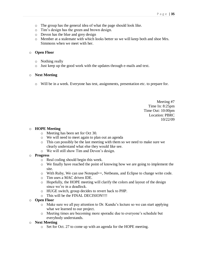- o The group has the general idea of what the page should look like.
- o Tim's design has the green and brown design.
- o Devon has the blue and grey design
- o Member at a stalemate with which looks better so we will keep both and shoe Mrs. Simmons when we meet with her.

#### o **Open Floor**

- o Nothing really
- o Just keep up the good work with the updates through e-mails and text.

#### o **Next Meeting**

o Will be in a week. Everyone has test, assignments, presentation etc. to prepare for.

Meeting #7 Time In: 8:25pm Time Out: 10:00pm Location: PBRC 10/22/09

#### o **HOPE Meeting**

- o Meeting has been set for Oct 30.
- o We will need to meet again to plan out an agenda
- o This can possibly be the last meeting with them so we need to make sure we clearly understand what else they would like see.
- o We will still show Tim and Devon's design.

#### o **Progress**

- o Real coding should begin this week.
- o We finally have reached the point of knowing how we are going to implement the site.
- o With Ruby, We can use Notepad++, Netbeans, and Eclipse to change write code.
- o Tim uses a MAC driven IDE.
- o Hopefully, the HOPE meeting will clarify the colors and layout of the design since we're in a deadlock.
- o HUGE switch, group decides to revert back to PHP.
- o This will be the FINAL DECISION!!!!
- o **Open Floor**
	- o Make sure we all pay attention to Dr. Kundu's lecture so we can start applying what we learned to our project.
	- o Meeting times are becoming more sporadic due to everyone's schedule but everybody understands.

#### o **Next Meeting**

o Set for Oct. 27 to come up with an agenda for the HOPE meeting.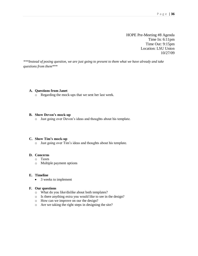HOPE Pre-Meeting #8 Agenda Time In: 6:11pm Time Out: 9:15pm Location: LSU Union 10/27/09

*\*\*\*Instead of posing question, we are just going to present to them what we have already and take questions from them\*\*\**

#### **A. Questions from Janet**

o Regarding the mock-ups that we sent her last week.

#### **B. Show Devon's mock-up**

o Just going over Devon's ideas and thoughts about his template.

#### **C. Show Tim's mock-up**

o Just going over Tim's ideas and thoughts about his template.

#### **D. Concerns**

- o Taxes
- o Multiple payment options

#### **E. Timeline**

3 weeks to implement  $\bullet$ 

#### **F. Our questions**

- o What do you like/dislike about both templates?
- o Is there anything extra you would like to see in the design?
- o How can we improve on our the design?
- o Are we taking the right steps in designing the site?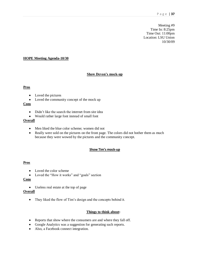Meeting #9 Time In: 8:25pm Time Out: 11:00pm Location: LSU Union 10/30/09

#### **HOPE Meeting Agenda-10/30**

#### **Show Devon's mock-up**

#### **Pros**

- $\bullet$ Loved the pictures
- $\bullet$ Loved the community concept of the mock up

#### **Cons**

- Didn't like the search the internet from site idea  $\bullet$
- Would rather large font instead of small font

#### **Overall**

- Men liked the blue color scheme; women did not
- Really were sold on the pictures on the front page. The colors did not bother them as much because they were wowed by the pictures and the community concept.

#### **Show Tim's mock-up**

#### **Pros**

- Loved the color scheme  $\bullet$
- Loved the "How it works" and "goals" section

#### **Cons**

Useless real estate at the top of page

#### **Overall**

• They liked the flow of Tim's design and the concepts behind it.

#### **Things to think about:**

- Reports that show where the consumers are and where they fall off.
- Google Analytics was a suggestion for generating such reports.
- Also, a Facebook connect integration.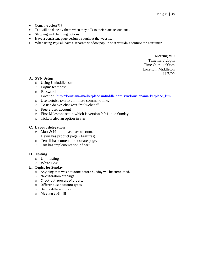- Combine colors???
- Tax will be done by them when they talk to their state accountants.
- Shipping and Handling options.
- Have a consistent page design throughout the website.
- When using PayPal, have a separate window pop up so it wouldn't confuse the consumer.

Meeting #10 Time In: 8:25pm Time Out: 11:00pm Location: Middleton 11/5/09

#### **A. SVN Setup**

- o Using Unfuddle.com
- o Login: teambest
- o Password: kundu
- o Location: [http://louisiana-marketplace.unfuddle.com/svn/louisianamarketplace\\_lcm](http://louisiana-marketplace.unfuddle.com/svn/louisianamarketplace_lcm)
- o Use tortoise svn to eliminate command line.
- $\circ$  To use do svn checkout " $\land\land\land$  website"
- o Free 2 user account
- o First Milestone setup which is version 0.0.1. due Sunday.
- o Tickets also an option in svn

#### **C. Layout delegation**

- o Matt & Hailong has user account.
- o Devin has product page. (Features).
- o Terrell has content and donate page.
- o Tim has implementation of cart.

#### **D. Testing**

- o Unit testing
- o White Box

#### **E. Topics for Sunday**

- o Anything that was not done before Sunday will be completed.
- o Next iteration of things
- o Check-out, process of orders.
- o Different user account types
- o Define different orgs.
- o Meeting at 6!!!!!!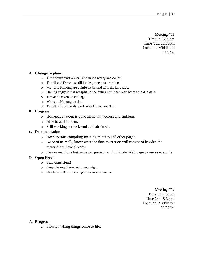Meeting #11 Time In: 8:00pm Time Out: 11:30pm Location: Middleton 11/8/09

#### **A. Change in plans**

- o Time constraints are causing much worry and doubt.
- o Terrell and Devon is still in the process or learning
- o Matt and Hailong are a little bit behind with the language.
- o Hailing suggest that we split up the duties until the week before the due date.
- o Tim and Devon on coding
- o Matt and Hailong on docs.
- o Terrell will primarily work with Devon and Tim.

#### **B. Progress**

- o Homepage layout is done along with colors and emblem.
- o Able to add an item.
- o Still working on back-end and admin site.

#### **C. Documentation**

- o Have to start compiling meeting minutes and other pages.
- o None of us really know what the documentation will consist of besides the material we have already.
- o Devon mentions last semester project on Dr. Kundu Web page to use as example

#### **D. Open Floor**

- o Stay consistent!
- o Keep the requirements in your sight.
- o Use latest HOPE meeting notes as a reference.

Meeting #12 Time In: 7:50pm Time Out: 8:50pm Location: Middleton 11/17/09

#### A. **Progress**

o Slowly making things come to life.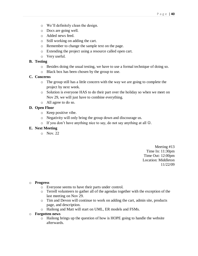- o We'll definitely clean the design.
- o Docs are going well.
- o Added news feed.
- o Still working on adding the cart.
- o Remember to change the sample text on the page.
- o Extending the project using a resource called open cart.
- o Very useful.

#### **B. Testing**

- o Besides doing the usual testing, we have to use a formal technique of doing so.
- o Black box has been chosen by the group to use.

#### **C. Concerns**

- o The group still has a little concern with the way we are going to complete the project by next week.
- o Solution is everyone HAS to do their part over the holiday so when we meet on Nov 29, we will just have to combine everything.
- o All agree to do so.

#### **D. Open Floor**

- o Keep positive vibe.
- o Negativity will only bring the group down and discourage us.
- $\circ$  If you don't have anything nice to say, do not say anything at all  $\odot$ .

#### **E. Next Meeting**

o Nov. 22

Meeting #13 Time In: 11:30pm Time Out: 12:00pm Location: Middleton 11/22/09

#### o **Progress**

- o Everyone seems to have their parts under control.
- o Terrell volunteers to gather all of the agendas together with the exception of the last meeting on Nov 29.
- o Tim and Devon will continue to work on adding the cart, admin site, products page, and description.
- o Hailong and Matt will start on UML, ER models and FSMs.

#### o **Forgotten news**

o Hailong brings up the question of how is HOPE going to handle the website afterwards.